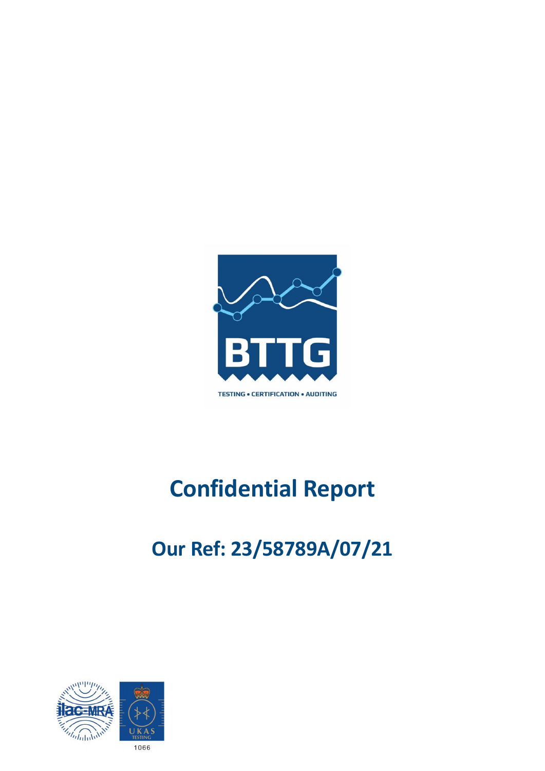

# **Confidential Report**

## **Our Ref: 23/58789A/07/21**

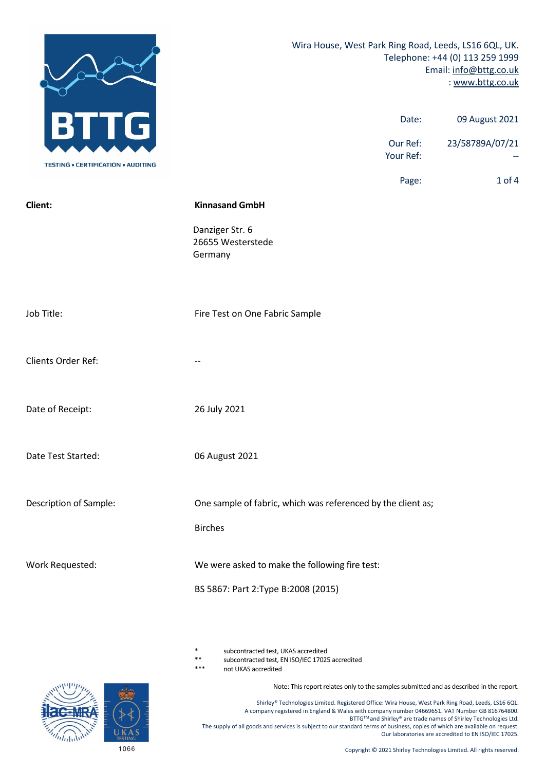

subcontracted test, UKAS accredited

\*\* subcontracted test, EN ISO/IEC 17025 accredited

not UKAS accredited

Note: This report relates only to the samples submitted and as described in the report.

Shirley® Technologies Limited. Registered Office: Wira House, West Park Ring Road, Leeds, LS16 6QL. A company registered in England & Wales with company number 04669651. VAT Number GB 816764800. BTTG™ and Shirley® are trade names of Shirley Technologies Ltd. The supply of all goods and services is subject to our standard terms of business, copies of which are available on request. Our laboratories are accredited to EN ISO/IEC 17025.

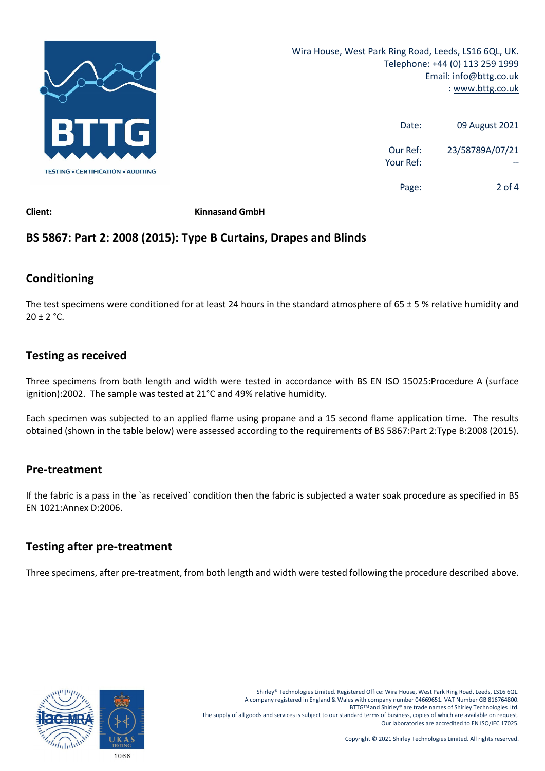

| 09 August 2021  | Date:                 |
|-----------------|-----------------------|
| 23/58789A/07/21 | Our Ref:<br>Your Ref: |
| 2 of 4          | Page:                 |

**Client: Kinnasand GmbH**

## **BS 5867: Part 2: 2008 (2015): Type B Curtains, Drapes and Blinds**

## **Conditioning**

The test specimens were conditioned for at least 24 hours in the standard atmosphere of  $65 \pm 5$  % relative humidity and  $20 \pm 2$  °C.

## **Testing as received**

Three specimens from both length and width were tested in accordance with BS EN ISO 15025:Procedure A (surface ignition):2002. The sample was tested at 21°C and 49% relative humidity.

Each specimen was subjected to an applied flame using propane and a 15 second flame application time. The results obtained (shown in the table below) were assessed according to the requirements of BS 5867:Part 2:Type B:2008 (2015).

## **Pre‐treatment**

If the fabric is a pass in the `as received` condition then the fabric is subjected a water soak procedure as specified in BS EN 1021:Annex D:2006.

## **Testing after pre‐treatment**

Three specimens, after pre-treatment, from both length and width were tested following the procedure described above.

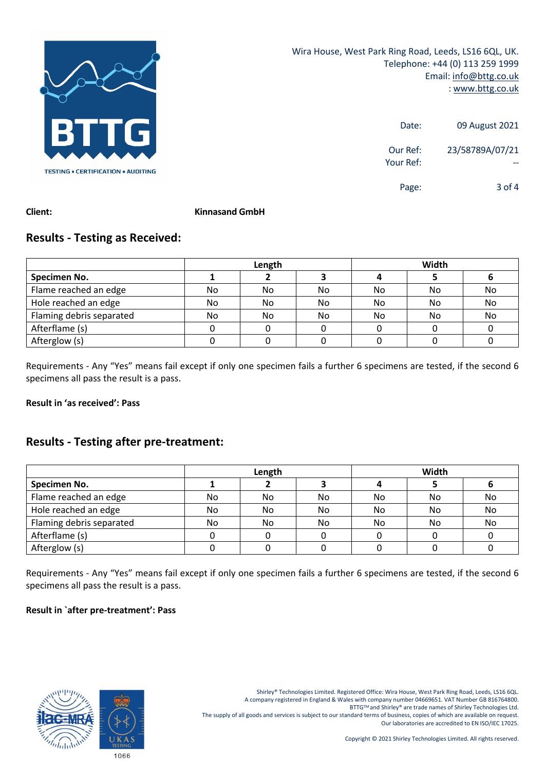

| 09 August 2021  | Date:                 |
|-----------------|-----------------------|
| 23/58789A/07/21 | Our Ref:<br>Your Ref: |
| $3$ of 4        | Page:                 |

#### **Client: Kinnasand GmbH**

## **Results ‐ Testing as Received:**

|                          | Length |    |    | Width |     |    |
|--------------------------|--------|----|----|-------|-----|----|
| Specimen No.             |        |    |    |       |     |    |
| Flame reached an edge    | No     | No | No | No    | No  | No |
| Hole reached an edge     | No     | No | No | No.   | No. | No |
| Flaming debris separated | No     | No | No | No.   | No. | No |
| Afterflame (s)           |        |    |    |       |     |    |
| Afterglow (s)            |        |    |    |       |     |    |

Requirements ‐ Any "Yes" means fail except if only one specimen fails a further 6 specimens are tested, if the second 6 specimens all pass the result is a pass.

#### **Result in 'as received': Pass**

## **Results ‐ Testing after pre‐treatment:**

|                          | Length |     |     | Width |    |    |
|--------------------------|--------|-----|-----|-------|----|----|
| Specimen No.             |        |     |     |       |    |    |
| Flame reached an edge    | No     | No  | No  | No.   | No | No |
| Hole reached an edge     | No     | No  | No. | No.   | No | No |
| Flaming debris separated | No     | No. | No  | No.   | No | No |
| Afterflame (s)           |        |     |     |       |    |    |
| Afterglow (s)            |        |     |     |       |    |    |

Requirements ‐ Any "Yes" means fail except if only one specimen fails a further 6 specimens are tested, if the second 6 specimens all pass the result is a pass.

#### **Result in `after pre‐treatment': Pass**



Shirley® Technologies Limited. Registered Office: Wira House, West Park Ring Road, Leeds, LS16 6QL. A company registered in England & Wales with company number 04669651. VAT Number GB 816764800. BTTG™ and Shirley® are trade names of Shirley Technologies Ltd. The supply of all goods and services is subject to our standard terms of business, copies of which are available on request. Our laboratories are accredited to EN ISO/IEC 17025.